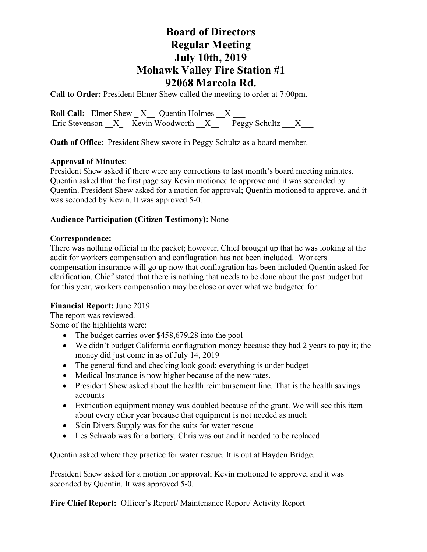# **Board of Directors Regular Meeting July 10th, 2019 Mohawk Valley Fire Station #1 92068 Marcola Rd.**

**Call to Order:** President Elmer Shew called the meeting to order at 7:00pm.

**Roll Call:** Elmer Shew  $X$  Quentin Holmes X Eric Stevenson  $X$  Kevin Woodworth  $X$  Peggy Schultz  $X$ 

**Oath of Office:** President Shew swore in Peggy Schultz as a board member.

## **Approval of Minutes**:

President Shew asked if there were any corrections to last month's board meeting minutes. Quentin asked that the first page say Kevin motioned to approve and it was seconded by Quentin. President Shew asked for a motion for approval; Quentin motioned to approve, and it was seconded by Kevin. It was approved 5-0.

### **Audience Participation (Citizen Testimony):** None

### **Correspondence:**

There was nothing official in the packet; however, Chief brought up that he was looking at the audit for workers compensation and conflagration has not been included. Workers compensation insurance will go up now that conflagration has been included Quentin asked for clarification. Chief stated that there is nothing that needs to be done about the past budget but for this year, workers compensation may be close or over what we budgeted for.

### **Financial Report:** June 2019

The report was reviewed.

Some of the highlights were:

- The budget carries over \$458,679.28 into the pool
- We didn't budget California conflagration money because they had 2 years to pay it; the money did just come in as of July 14, 2019
- The general fund and checking look good; everything is under budget
- Medical Insurance is now higher because of the new rates.
- President Shew asked about the health reimbursement line. That is the health savings accounts
- Extrication equipment money was doubled because of the grant. We will see this item about every other year because that equipment is not needed as much
- Skin Divers Supply was for the suits for water rescue
- Les Schwab was for a battery. Chris was out and it needed to be replaced

Quentin asked where they practice for water rescue. It is out at Hayden Bridge.

President Shew asked for a motion for approval; Kevin motioned to approve, and it was seconded by Quentin. It was approved 5-0.

**Fire Chief Report:** Officer's Report/ Maintenance Report/ Activity Report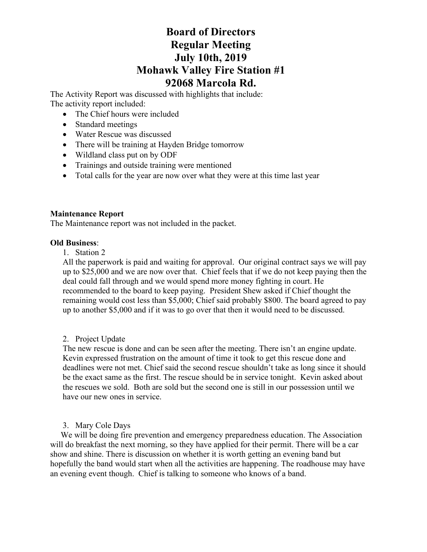# **Board of Directors Regular Meeting July 10th, 2019 Mohawk Valley Fire Station #1 92068 Marcola Rd.**

The Activity Report was discussed with highlights that include: The activity report included:

- The Chief hours were included
- Standard meetings
- Water Rescue was discussed
- There will be training at Hayden Bridge tomorrow
- Wildland class put on by ODF
- Trainings and outside training were mentioned
- Total calls for the year are now over what they were at this time last year

## **Maintenance Report**

The Maintenance report was not included in the packet.

### **Old Business**:

1. Station 2

All the paperwork is paid and waiting for approval. Our original contract says we will pay up to \$25,000 and we are now over that. Chief feels that if we do not keep paying then the deal could fall through and we would spend more money fighting in court. He recommended to the board to keep paying. President Shew asked if Chief thought the remaining would cost less than \$5,000; Chief said probably \$800. The board agreed to pay up to another \$5,000 and if it was to go over that then it would need to be discussed.

## 2. Project Update

The new rescue is done and can be seen after the meeting. There isn't an engine update. Kevin expressed frustration on the amount of time it took to get this rescue done and deadlines were not met. Chief said the second rescue shouldn't take as long since it should be the exact same as the first. The rescue should be in service tonight. Kevin asked about the rescues we sold. Both are sold but the second one is still in our possession until we have our new ones in service.

3. Mary Cole Days

 We will be doing fire prevention and emergency preparedness education. The Association will do breakfast the next morning, so they have applied for their permit. There will be a car show and shine. There is discussion on whether it is worth getting an evening band but hopefully the band would start when all the activities are happening. The roadhouse may have an evening event though. Chief is talking to someone who knows of a band.